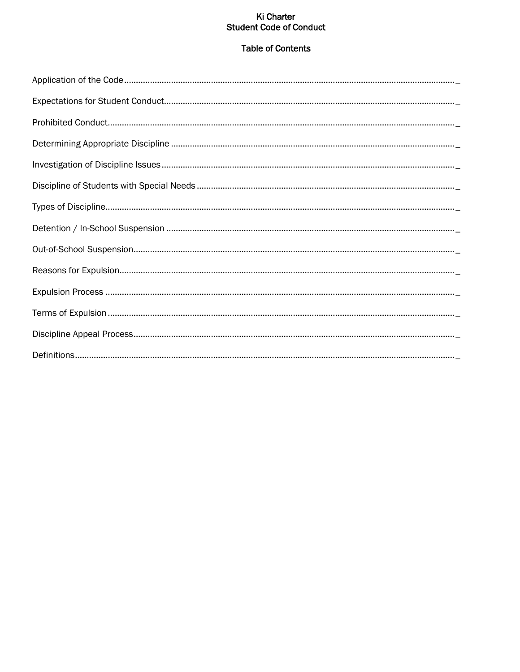# Ki Charter **Student Code of Conduct**

# **Table of Contents**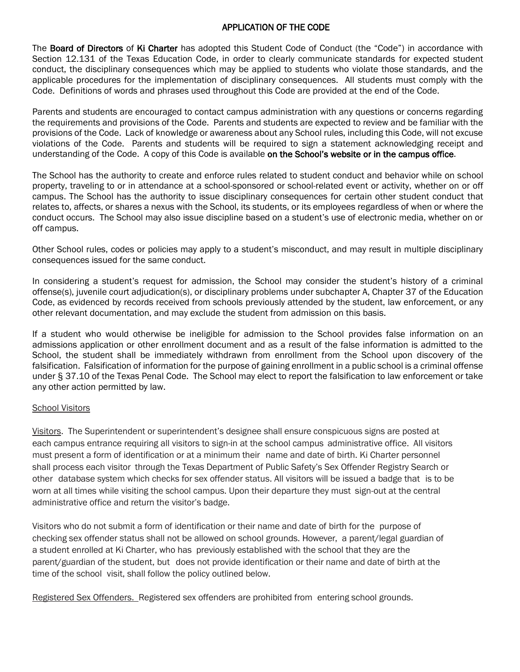## APPLICATION OF THE CODE

The Board of Directors of Ki Charter has adopted this Student Code of Conduct (the "Code") in accordance with Section 12.131 of the Texas Education Code, in order to clearly communicate standards for expected student conduct, the disciplinary consequences which may be applied to students who violate those standards, and the applicable procedures for the implementation of disciplinary consequences. All students must comply with the Code. Definitions of words and phrases used throughout this Code are provided at the end of the Code.

Parents and students are encouraged to contact campus administration with any questions or concerns regarding the requirements and provisions of the Code. Parents and students are expected to review and be familiar with the provisions of the Code. Lack of knowledge or awareness about any School rules, including this Code, will not excuse violations of the Code. Parents and students will be required to sign a statement acknowledging receipt and understanding of the Code. A copy of this Code is available on the School's website or in the campus office.

The School has the authority to create and enforce rules related to student conduct and behavior while on school property, traveling to or in attendance at a school-sponsored or school-related event or activity, whether on or off campus. The School has the authority to issue disciplinary consequences for certain other student conduct that relates to, affects, or shares a nexus with the School, its students, or its employees regardless of when or where the conduct occurs. The School may also issue discipline based on a student's use of electronic media, whether on or off campus.

Other School rules, codes or policies may apply to a student's misconduct, and may result in multiple disciplinary consequences issued for the same conduct.

In considering a student's request for admission, the School may consider the student's history of a criminal offense(s), juvenile court adjudication(s), or disciplinary problems under subchapter A, Chapter 37 of the Education Code, as evidenced by records received from schools previously attended by the student, law enforcement, or any other relevant documentation, and may exclude the student from admission on this basis.

If a student who would otherwise be ineligible for admission to the School provides false information on an admissions application or other enrollment document and as a result of the false information is admitted to the School, the student shall be immediately withdrawn from enrollment from the School upon discovery of the falsification. Falsification of information for the purpose of gaining enrollment in a public school is a criminal offense under § 37.10 of the Texas Penal Code. The School may elect to report the falsification to law enforcement or take any other action permitted by law.

#### School Visitors

Visitors. The Superintendent or superintendent's designee shall ensure conspicuous signs are posted at each campus entrance requiring all visitors to sign-in at the school campus administrative office. All visitors must present a form of identification or at a minimum their name and date of birth. Ki Charter personnel shall process each visitor through the Texas Department of Public Safety's Sex Offender Registry Search or other database system which checks for sex offender status. All visitors will be issued a badge that is to be worn at all times while visiting the school campus. Upon their departure they must sign-out at the central administrative office and return the visitor's badge.

Visitors who do not submit a form of identification or their name and date of birth for the purpose of checking sex offender status shall not be allowed on school grounds. However, a parent/legal guardian of a student enrolled at Ki Charter, who has previously established with the school that they are the parent/guardian of the student, but does not provide identification or their name and date of birth at the time of the school visit, shall follow the policy outlined below.

Registered Sex Offenders. Registered sex offenders are prohibited from entering school grounds.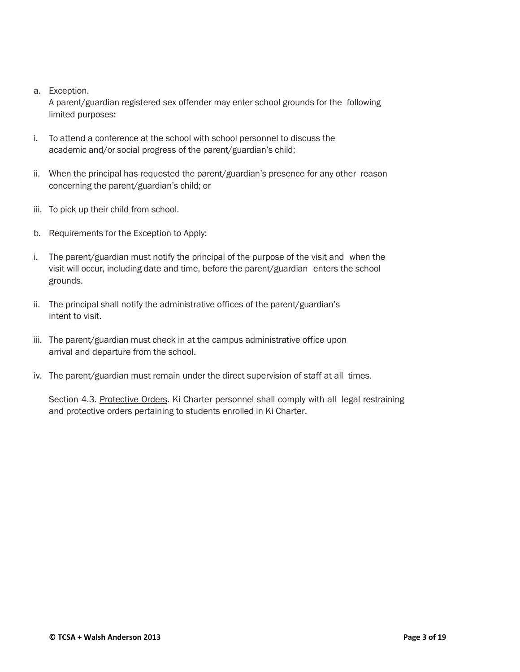#### a. Exception.

A parent/guardian registered sex offender may enter school grounds for the following limited purposes:

- i. To attend a conference at the school with school personnel to discuss the academic and/or social progress of the parent/guardian's child;
- ii. When the principal has requested the parent/guardian's presence for any other reason concerning the parent/guardian's child; or
- iii. To pick up their child from school.
- b. Requirements for the Exception to Apply:
- i. The parent/guardian must notify the principal of the purpose of the visit and when the visit will occur, including date and time, before the parent/guardian enters the school grounds.
- ii. The principal shall notify the administrative offices of the parent/guardian's intent to visit.
- iii. The parent/guardian must check in at the campus administrative office upon arrival and departure from the school.
- iv. The parent/guardian must remain under the direct supervision of staff at all times.

Section 4.3. Protective Orders. Ki Charter personnel shall comply with all legal restraining and protective orders pertaining to students enrolled in Ki Charter.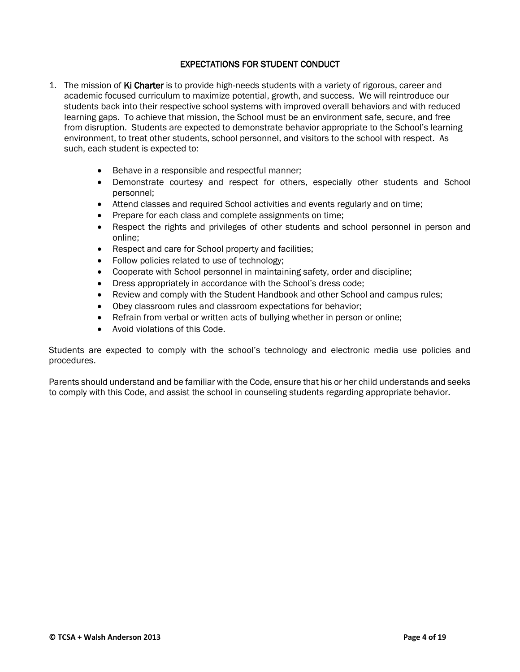# EXPECTATIONS FOR STUDENT CONDUCT

- 1. The mission of Ki Charter is to provide high-needs students with a variety of rigorous, career and academic focused curriculum to maximize potential, growth, and success. We will reintroduce our students back into their respective school systems with improved overall behaviors and with reduced learning gaps. To achieve that mission, the School must be an environment safe, secure, and free from disruption. Students are expected to demonstrate behavior appropriate to the School's learning environment, to treat other students, school personnel, and visitors to the school with respect. As such, each student is expected to:
	- Behave in a responsible and respectful manner;
	- Demonstrate courtesy and respect for others, especially other students and School personnel;
	- Attend classes and required School activities and events regularly and on time;
	- Prepare for each class and complete assignments on time;
	- Respect the rights and privileges of other students and school personnel in person and online;
	- Respect and care for School property and facilities;
	- Follow policies related to use of technology;
	- Cooperate with School personnel in maintaining safety, order and discipline;
	- Dress appropriately in accordance with the School's dress code;
	- Review and comply with the Student Handbook and other School and campus rules;
	- Obey classroom rules and classroom expectations for behavior;
	- Refrain from verbal or written acts of bullying whether in person or online;
	- Avoid violations of this Code.

Students are expected to comply with the school's technology and electronic media use policies and procedures.

Parents should understand and be familiar with the Code, ensure that his or her child understands and seeks to comply with this Code, and assist the school in counseling students regarding appropriate behavior.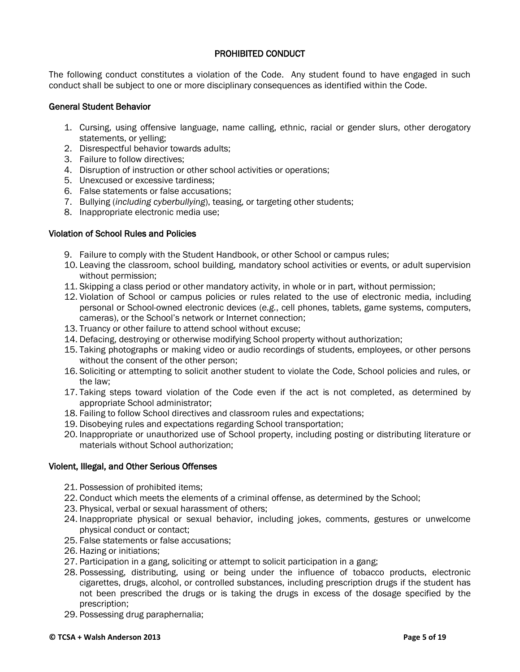# PROHIBITED CONDUCT

The following conduct constitutes a violation of the Code. Any student found to have engaged in such conduct shall be subject to one or more disciplinary consequences as identified within the Code.

#### General Student Behavior

- 1. Cursing, using offensive language, name calling, ethnic, racial or gender slurs, other derogatory statements, or yelling;
- 2. Disrespectful behavior towards adults;
- 3. Failure to follow directives;
- 4. Disruption of instruction or other school activities or operations;
- 5. Unexcused or excessive tardiness;
- 6. False statements or false accusations;
- 7. Bullying (*including cyberbullying*), teasing, or targeting other students;
- 8. Inappropriate electronic media use;

#### Violation of School Rules and Policies

- 9. Failure to comply with the Student Handbook, or other School or campus rules;
- 10. Leaving the classroom, school building, mandatory school activities or events, or adult supervision without permission;
- 11. Skipping a class period or other mandatory activity, in whole or in part, without permission;
- 12. Violation of School or campus policies or rules related to the use of electronic media, including personal or School-owned electronic devices (*e.g.*, cell phones, tablets, game systems, computers, cameras), or the School's network or Internet connection;
- 13. Truancy or other failure to attend school without excuse;
- 14. Defacing, destroying or otherwise modifying School property without authorization;
- 15. Taking photographs or making video or audio recordings of students, employees, or other persons without the consent of the other person;
- 16. Soliciting or attempting to solicit another student to violate the Code, School policies and rules, or the law;
- 17. Taking steps toward violation of the Code even if the act is not completed, as determined by appropriate School administrator;
- 18. Failing to follow School directives and classroom rules and expectations;
- 19. Disobeying rules and expectations regarding School transportation;
- 20. Inappropriate or unauthorized use of School property, including posting or distributing literature or materials without School authorization;

#### Violent, Illegal, and Other Serious Offenses

- 21. Possession of prohibited items;
- 22. Conduct which meets the elements of a criminal offense, as determined by the School;
- 23. Physical, verbal or sexual harassment of others;
- 24. Inappropriate physical or sexual behavior, including jokes, comments, gestures or unwelcome physical conduct or contact;
- 25. False statements or false accusations;
- 26. Hazing or initiations;
- 27. Participation in a gang, soliciting or attempt to solicit participation in a gang;
- 28. Possessing, distributing, using or being under the influence of tobacco products, electronic cigarettes, drugs, alcohol, or controlled substances, including prescription drugs if the student has not been prescribed the drugs or is taking the drugs in excess of the dosage specified by the prescription;
- 29. Possessing drug paraphernalia;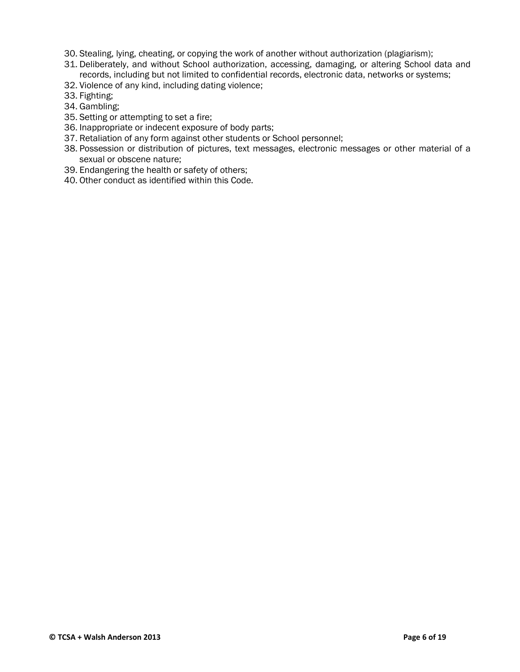- 30. Stealing, lying, cheating, or copying the work of another without authorization (plagiarism);
- 31. Deliberately, and without School authorization, accessing, damaging, or altering School data and records, including but not limited to confidential records, electronic data, networks or systems;
- 32. Violence of any kind, including dating violence;
- 33. Fighting;
- 34. Gambling;
- 35. Setting or attempting to set a fire;
- 36. Inappropriate or indecent exposure of body parts;
- 37. Retaliation of any form against other students or School personnel;
- 38. Possession or distribution of pictures, text messages, electronic messages or other material of a sexual or obscene nature;
- 39. Endangering the health or safety of others;
- 40. Other conduct as identified within this Code.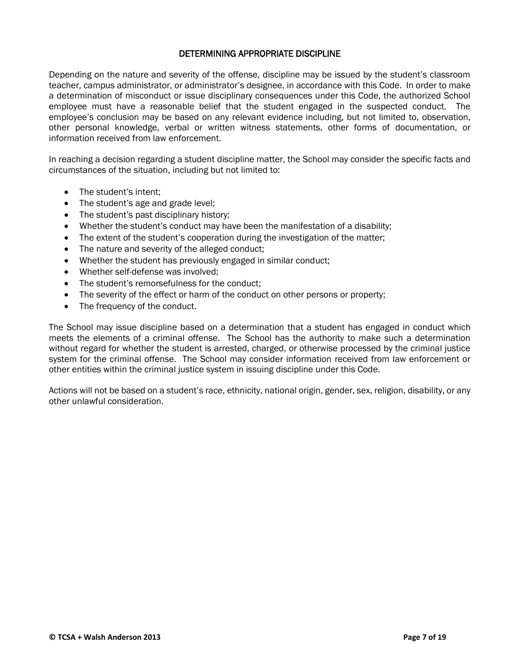# DETERMINING APPROPRIATE DISCIPLINE

Depending on the nature and severity of the offense, discipline may be issued by the student's classroom teacher, campus administrator, or administrator's designee, in accordance with this Code. In order to make a determination of misconduct or issue disciplinary consequences under this Code, the authorized School employee must have a reasonable belief that the student engaged in the suspected conduct. The employee's conclusion may be based on any relevant evidence including, but not limited to, observation, other personal knowledge, verbal or written witness statements, other forms of documentation, or information received from law enforcement.

In reaching a decision regarding a student discipline matter, the School may consider the specific facts and circumstances of the situation, including but not limited to:

- The student's intent:
- The student's age and grade level;
- The student's past disciplinary history;
- Whether the student's conduct may have been the manifestation of a disability;
- The extent of the student's cooperation during the investigation of the matter;
- The nature and severity of the alleged conduct;
- Whether the student has previously engaged in similar conduct;
- Whether self-defense was involved:
- The student's remorsefulness for the conduct;
- The severity of the effect or harm of the conduct on other persons or property;
- The frequency of the conduct.

The School may issue discipline based on a determination that a student has engaged in conduct which meets the elements of a criminal offense. The School has the authority to make such a determination without regard for whether the student is arrested, charged, or otherwise processed by the criminal justice system for the criminal offense. The School may consider information received from law enforcement or other entities within the criminal justice system in issuing discipline under this Code.

Actions will not be based on a student's race, ethnicity, national origin, gender, sex, religion, disability, or any other unlawful consideration.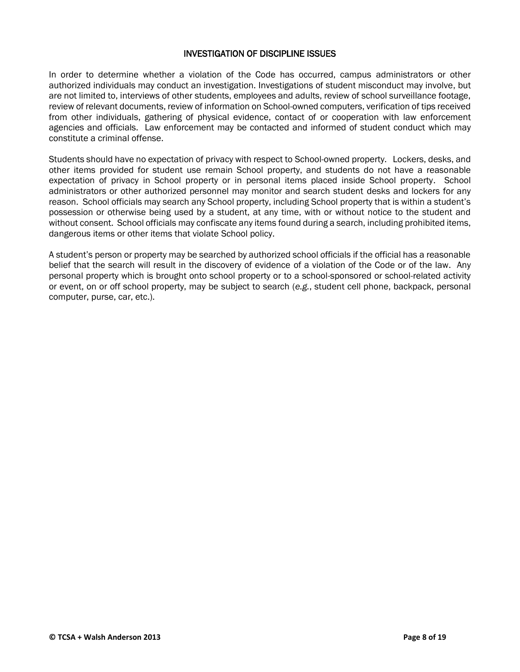## INVESTIGATION OF DISCIPLINE ISSUES

In order to determine whether a violation of the Code has occurred, campus administrators or other authorized individuals may conduct an investigation. Investigations of student misconduct may involve, but are not limited to, interviews of other students, employees and adults, review of school surveillance footage, review of relevant documents, review of information on School-owned computers, verification of tips received from other individuals, gathering of physical evidence, contact of or cooperation with law enforcement agencies and officials. Law enforcement may be contacted and informed of student conduct which may constitute a criminal offense.

Students should have no expectation of privacy with respect to School-owned property. Lockers, desks, and other items provided for student use remain School property, and students do not have a reasonable expectation of privacy in School property or in personal items placed inside School property. School administrators or other authorized personnel may monitor and search student desks and lockers for any reason. School officials may search any School property, including School property that is within a student's possession or otherwise being used by a student, at any time, with or without notice to the student and without consent. School officials may confiscate any items found during a search, including prohibited items, dangerous items or other items that violate School policy.

A student's person or property may be searched by authorized school officials if the official has a reasonable belief that the search will result in the discovery of evidence of a violation of the Code or of the law. Any personal property which is brought onto school property or to a school-sponsored or school-related activity or event, on or off school property, may be subject to search (*e.g.*, student cell phone, backpack, personal computer, purse, car, etc.).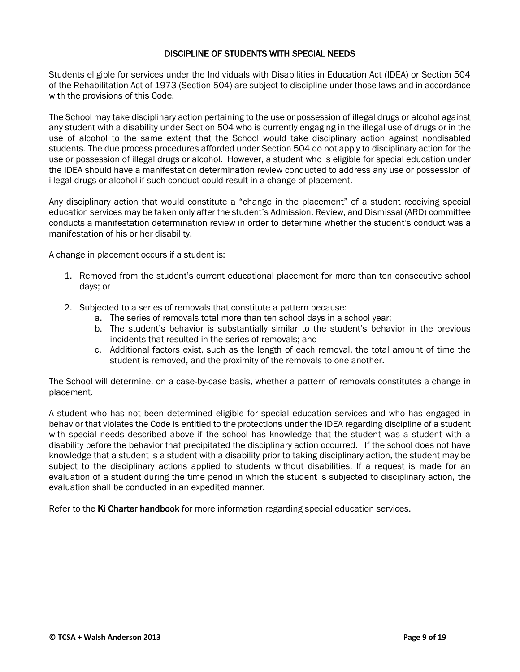# DISCIPLINE OF STUDENTS WITH SPECIAL NEEDS

Students eligible for services under the Individuals with Disabilities in Education Act (IDEA) or Section 504 of the Rehabilitation Act of 1973 (Section 504) are subject to discipline under those laws and in accordance with the provisions of this Code.

The School may take disciplinary action pertaining to the use or possession of illegal drugs or alcohol against any student with a disability under Section 504 who is currently engaging in the illegal use of drugs or in the use of alcohol to the same extent that the School would take disciplinary action against nondisabled students. The due process procedures afforded under Section 504 do not apply to disciplinary action for the use or possession of illegal drugs or alcohol. However, a student who is eligible for special education under the IDEA should have a manifestation determination review conducted to address any use or possession of illegal drugs or alcohol if such conduct could result in a change of placement.

Any disciplinary action that would constitute a "change in the placement" of a student receiving special education services may be taken only after the student's Admission, Review, and Dismissal (ARD) committee conducts a manifestation determination review in order to determine whether the student's conduct was a manifestation of his or her disability.

A change in placement occurs if a student is:

- 1. Removed from the student's current educational placement for more than ten consecutive school days; or
- 2. Subjected to a series of removals that constitute a pattern because:
	- a. The series of removals total more than ten school days in a school year;
	- b. The student's behavior is substantially similar to the student's behavior in the previous incidents that resulted in the series of removals; and
	- c. Additional factors exist, such as the length of each removal, the total amount of time the student is removed, and the proximity of the removals to one another.

The School will determine, on a case-by-case basis, whether a pattern of removals constitutes a change in placement.

A student who has not been determined eligible for special education services and who has engaged in behavior that violates the Code is entitled to the protections under the IDEA regarding discipline of a student with special needs described above if the school has knowledge that the student was a student with a disability before the behavior that precipitated the disciplinary action occurred. If the school does not have knowledge that a student is a student with a disability prior to taking disciplinary action, the student may be subject to the disciplinary actions applied to students without disabilities. If a request is made for an evaluation of a student during the time period in which the student is subjected to disciplinary action, the evaluation shall be conducted in an expedited manner.

Refer to the Ki Charter handbook for more information regarding special education services.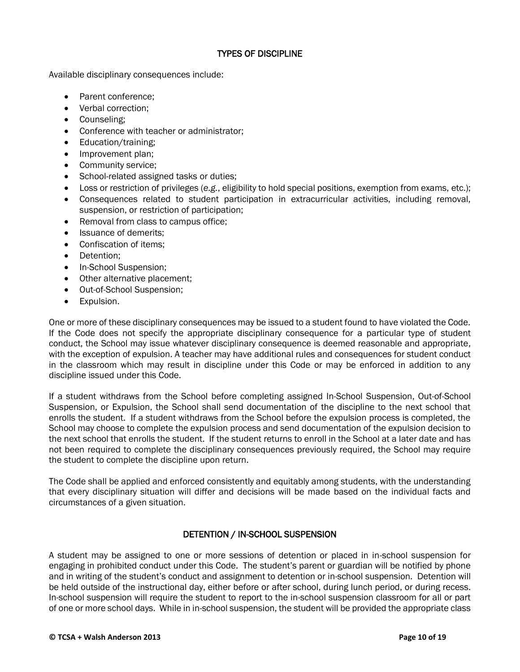# TYPES OF DISCIPLINE

Available disciplinary consequences include:

- Parent conference:
- Verbal correction;
- Counseling;
- Conference with teacher or administrator;
- Education/training;
- Improvement plan;
- Community service:
- School-related assigned tasks or duties;
- Loss or restriction of privileges (*e.g.*, eligibility to hold special positions, exemption from exams, etc.);
- Consequences related to student participation in extracurricular activities, including removal, suspension, or restriction of participation;
- Removal from class to campus office;
- Issuance of demerits;
- Confiscation of items;
- Detention:
- In-School Suspension;
- Other alternative placement;
- Out-of-School Suspension;
- **•** Expulsion.

One or more of these disciplinary consequences may be issued to a student found to have violated the Code. If the Code does not specify the appropriate disciplinary consequence for a particular type of student conduct, the School may issue whatever disciplinary consequence is deemed reasonable and appropriate, with the exception of expulsion. A teacher may have additional rules and consequences for student conduct in the classroom which may result in discipline under this Code or may be enforced in addition to any discipline issued under this Code.

If a student withdraws from the School before completing assigned In-School Suspension, Out-of-School Suspension, or Expulsion, the School shall send documentation of the discipline to the next school that enrolls the student. If a student withdraws from the School before the expulsion process is completed, the School may choose to complete the expulsion process and send documentation of the expulsion decision to the next school that enrolls the student. If the student returns to enroll in the School at a later date and has not been required to complete the disciplinary consequences previously required, the School may require the student to complete the discipline upon return.

The Code shall be applied and enforced consistently and equitably among students, with the understanding that every disciplinary situation will differ and decisions will be made based on the individual facts and circumstances of a given situation.

# DETENTION / IN-SCHOOL SUSPENSION

A student may be assigned to one or more sessions of detention or placed in in-school suspension for engaging in prohibited conduct under this Code. The student's parent or guardian will be notified by phone and in writing of the student's conduct and assignment to detention or in-school suspension. Detention will be held outside of the instructional day, either before or after school, during lunch period, or during recess. In-school suspension will require the student to report to the in-school suspension classroom for all or part of one or more school days. While in in-school suspension, the student will be provided the appropriate class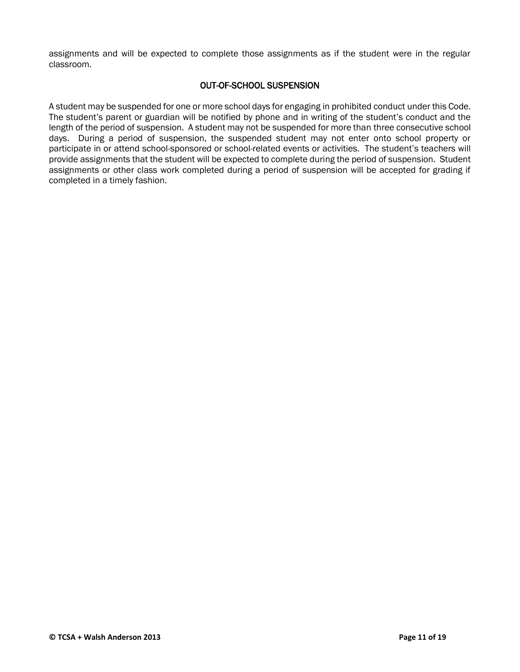assignments and will be expected to complete those assignments as if the student were in the regular classroom.

## OUT-OF-SCHOOL SUSPENSION

A student may be suspended for one or more school days for engaging in prohibited conduct under this Code. The student's parent or guardian will be notified by phone and in writing of the student's conduct and the length of the period of suspension. A student may not be suspended for more than three consecutive school days. During a period of suspension, the suspended student may not enter onto school property or participate in or attend school-sponsored or school-related events or activities. The student's teachers will provide assignments that the student will be expected to complete during the period of suspension. Student assignments or other class work completed during a period of suspension will be accepted for grading if completed in a timely fashion.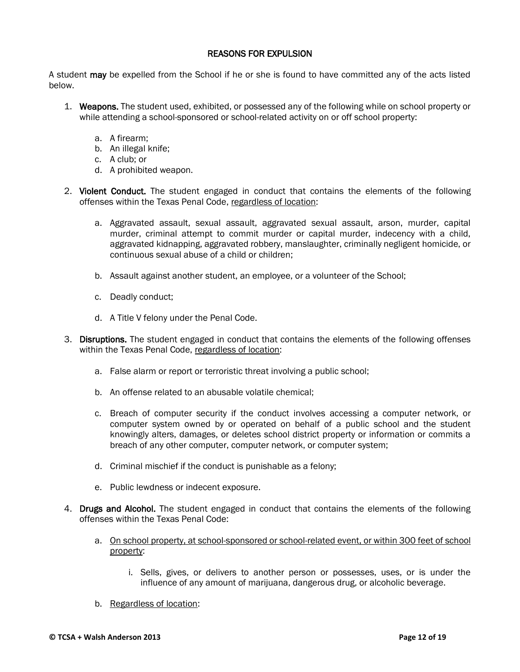# REASONS FOR EXPULSION

A student may be expelled from the School if he or she is found to have committed any of the acts listed below.

- 1. Weapons. The student used, exhibited, or possessed any of the following while on school property or while attending a school-sponsored or school-related activity on or off school property:
	- a. A firearm;
	- b. An illegal knife;
	- c. A club; or
	- d. A prohibited weapon.
- 2. Violent Conduct. The student engaged in conduct that contains the elements of the following offenses within the Texas Penal Code, regardless of location:
	- a. Aggravated assault, sexual assault, aggravated sexual assault, arson, murder, capital murder, criminal attempt to commit murder or capital murder, indecency with a child, aggravated kidnapping, aggravated robbery, manslaughter, criminally negligent homicide, or continuous sexual abuse of a child or children;
	- b. Assault against another student, an employee, or a volunteer of the School;
	- c. Deadly conduct;
	- d. A Title V felony under the Penal Code.
- 3. Disruptions. The student engaged in conduct that contains the elements of the following offenses within the Texas Penal Code, regardless of location:
	- a. False alarm or report or terroristic threat involving a public school;
	- b. An offense related to an abusable volatile chemical;
	- c. Breach of computer security if the conduct involves accessing a computer network, or computer system owned by or operated on behalf of a public school and the student knowingly alters, damages, or deletes school district property or information or commits a breach of any other computer, computer network, or computer system;
	- d. Criminal mischief if the conduct is punishable as a felony;
	- e. Public lewdness or indecent exposure.
- 4. Drugs and Alcohol. The student engaged in conduct that contains the elements of the following offenses within the Texas Penal Code:
	- a. On school property, at school-sponsored or school-related event, or within 300 feet of school property:
		- i. Sells, gives, or delivers to another person or possesses, uses, or is under the influence of any amount of marijuana, dangerous drug, or alcoholic beverage.
	- b. Regardless of location: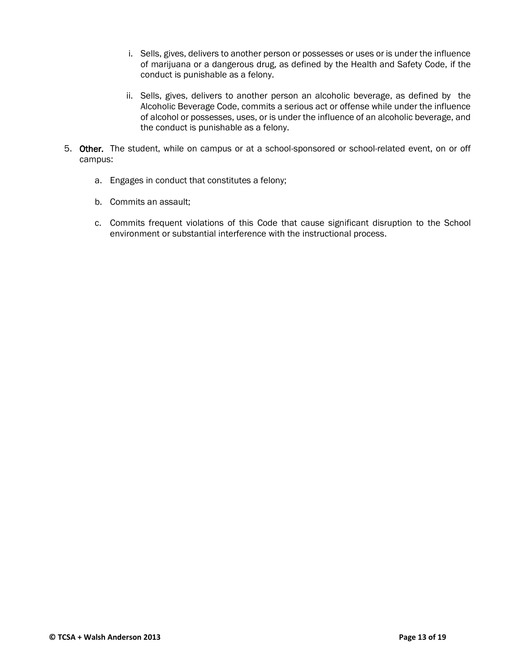- i. Sells, gives, delivers to another person or possesses or uses or is under the influence of marijuana or a dangerous drug, as defined by the Health and Safety Code, if the conduct is punishable as a felony.
- ii. Sells, gives, delivers to another person an alcoholic beverage, as defined by the Alcoholic Beverage Code, commits a serious act or offense while under the influence of alcohol or possesses, uses, or is under the influence of an alcoholic beverage, and the conduct is punishable as a felony.
- 5. Other. The student, while on campus or at a school-sponsored or school-related event, on or off campus:
	- a. Engages in conduct that constitutes a felony;
	- b. Commits an assault;
	- c. Commits frequent violations of this Code that cause significant disruption to the School environment or substantial interference with the instructional process.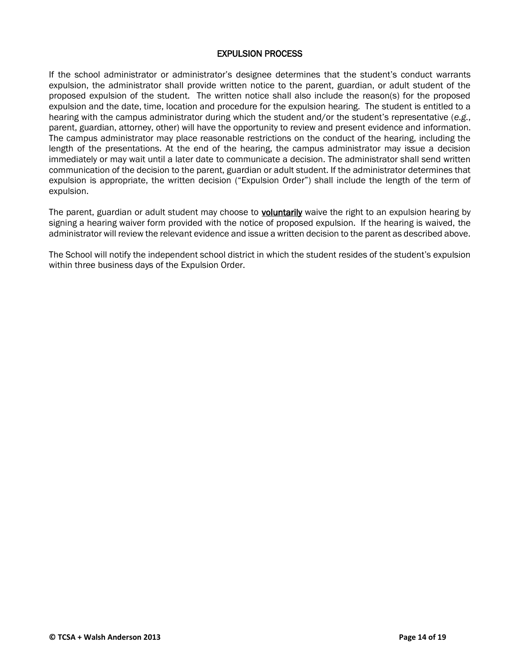## EXPULSION PROCESS

If the school administrator or administrator's designee determines that the student's conduct warrants expulsion, the administrator shall provide written notice to the parent, guardian, or adult student of the proposed expulsion of the student. The written notice shall also include the reason(s) for the proposed expulsion and the date, time, location and procedure for the expulsion hearing. The student is entitled to a hearing with the campus administrator during which the student and/or the student's representative (*e.g.*, parent, guardian, attorney, other) will have the opportunity to review and present evidence and information. The campus administrator may place reasonable restrictions on the conduct of the hearing, including the length of the presentations. At the end of the hearing, the campus administrator may issue a decision immediately or may wait until a later date to communicate a decision. The administrator shall send written communication of the decision to the parent, guardian or adult student. If the administrator determines that expulsion is appropriate, the written decision ("Expulsion Order") shall include the length of the term of expulsion.

The parent, guardian or adult student may choose to voluntarily waive the right to an expulsion hearing by signing a hearing waiver form provided with the notice of proposed expulsion. If the hearing is waived, the administrator will review the relevant evidence and issue a written decision to the parent as described above.

The School will notify the independent school district in which the student resides of the student's expulsion within three business days of the Expulsion Order.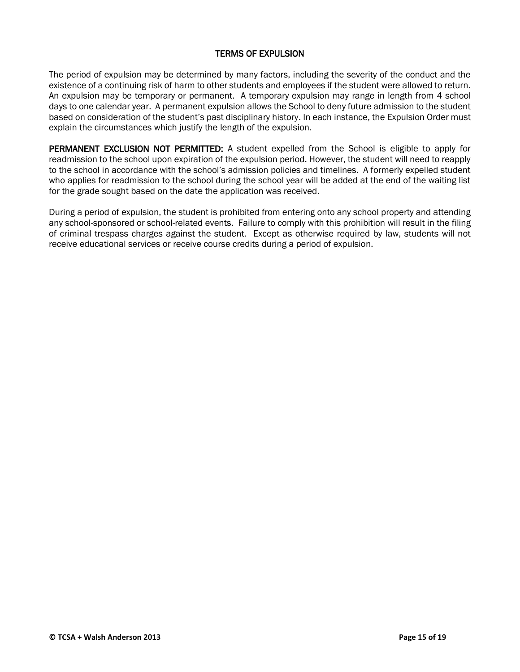## TERMS OF EXPULSION

The period of expulsion may be determined by many factors, including the severity of the conduct and the existence of a continuing risk of harm to other students and employees if the student were allowed to return. An expulsion may be temporary or permanent. A temporary expulsion may range in length from 4 school days to one calendar year. A permanent expulsion allows the School to deny future admission to the student based on consideration of the student's past disciplinary history. In each instance, the Expulsion Order must explain the circumstances which justify the length of the expulsion.

PERMANENT EXCLUSION NOT PERMITTED: A student expelled from the School is eligible to apply for readmission to the school upon expiration of the expulsion period. However, the student will need to reapply to the school in accordance with the school's admission policies and timelines. A formerly expelled student who applies for readmission to the school during the school year will be added at the end of the waiting list for the grade sought based on the date the application was received.

During a period of expulsion, the student is prohibited from entering onto any school property and attending any school-sponsored or school-related events. Failure to comply with this prohibition will result in the filing of criminal trespass charges against the student. Except as otherwise required by law, students will not receive educational services or receive course credits during a period of expulsion.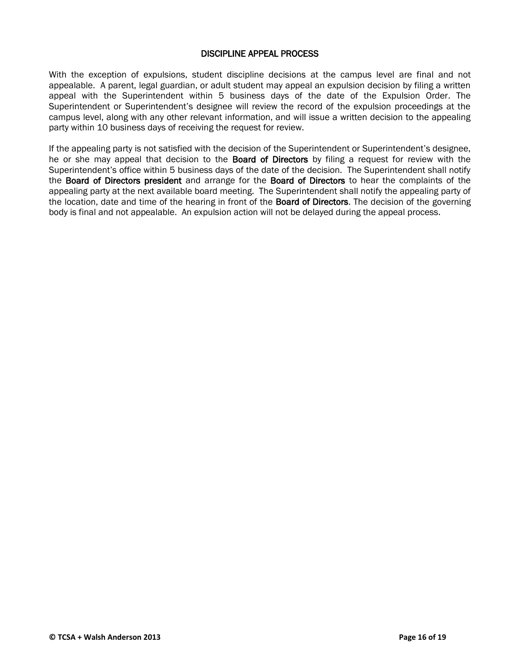#### DISCIPLINE APPEAL PROCESS

With the exception of expulsions, student discipline decisions at the campus level are final and not appealable. A parent, legal guardian, or adult student may appeal an expulsion decision by filing a written appeal with the Superintendent within 5 business days of the date of the Expulsion Order. The Superintendent or Superintendent's designee will review the record of the expulsion proceedings at the campus level, along with any other relevant information, and will issue a written decision to the appealing party within 10 business days of receiving the request for review.

If the appealing party is not satisfied with the decision of the Superintendent or Superintendent's designee, he or she may appeal that decision to the **Board of Directors** by filing a request for review with the Superintendent's office within 5 business days of the date of the decision. The Superintendent shall notify the Board of Directors president and arrange for the Board of Directors to hear the complaints of the appealing party at the next available board meeting. The Superintendent shall notify the appealing party of the location, date and time of the hearing in front of the **Board of Directors.** The decision of the governing body is final and not appealable. An expulsion action will not be delayed during the appeal process.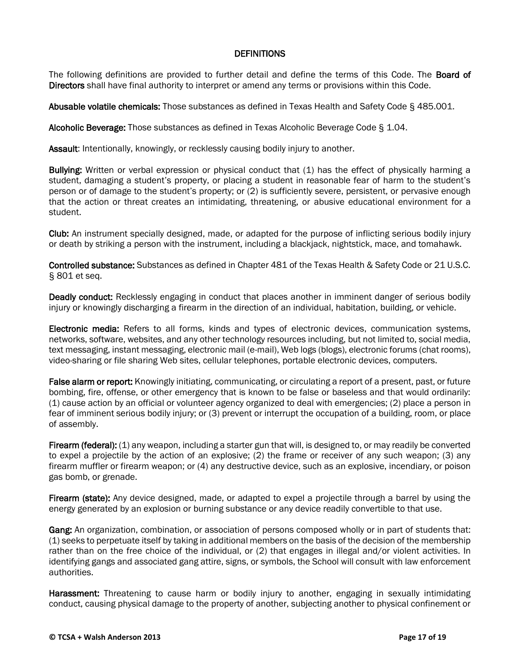#### **DEFINITIONS**

The following definitions are provided to further detail and define the terms of this Code. The Board of Directors shall have final authority to interpret or amend any terms or provisions within this Code.

Abusable volatile chemicals: Those substances as defined in Texas Health and Safety Code § 485.001.

Alcoholic Beverage: Those substances as defined in Texas Alcoholic Beverage Code § 1.04.

Assault: Intentionally, knowingly, or recklessly causing bodily injury to another.

Bullying: Written or verbal expression or physical conduct that (1) has the effect of physically harming a student, damaging a student's property, or placing a student in reasonable fear of harm to the student's person or of damage to the student's property; or (2) is sufficiently severe, persistent, or pervasive enough that the action or threat creates an intimidating, threatening, or abusive educational environment for a student.

Club: An instrument specially designed, made, or adapted for the purpose of inflicting serious bodily injury or death by striking a person with the instrument, including a blackjack, nightstick, mace, and tomahawk.

Controlled substance: Substances as defined in Chapter 481 of the Texas Health & Safety Code or 21 U.S.C. § 801 et seq.

Deadly conduct: Recklessly engaging in conduct that places another in imminent danger of serious bodily injury or knowingly discharging a firearm in the direction of an individual, habitation, building, or vehicle.

Electronic media: Refers to all forms, kinds and types of electronic devices, communication systems, networks, software, websites, and any other technology resources including, but not limited to, social media, text messaging, instant messaging, electronic mail (e-mail), Web logs (blogs), electronic forums (chat rooms), video-sharing or file sharing Web sites, cellular telephones, portable electronic devices, computers.

False alarm or report: Knowingly initiating, communicating, or circulating a report of a present, past, or future bombing, fire, offense, or other emergency that is known to be false or baseless and that would ordinarily: (1) cause action by an official or volunteer agency organized to deal with emergencies; (2) place a person in fear of imminent serious bodily injury; or (3) prevent or interrupt the occupation of a building, room, or place of assembly.

Firearm (federal): (1) any weapon, including a starter gun that will, is designed to, or may readily be converted to expel a projectile by the action of an explosive; (2) the frame or receiver of any such weapon; (3) any firearm muffler or firearm weapon; or (4) any destructive device, such as an explosive, incendiary, or poison gas bomb, or grenade.

Firearm (state): Any device designed, made, or adapted to expel a projectile through a barrel by using the energy generated by an explosion or burning substance or any device readily convertible to that use.

Gang: An organization, combination, or association of persons composed wholly or in part of students that: (1) seeks to perpetuate itself by taking in additional members on the basis of the decision of the membership rather than on the free choice of the individual, or (2) that engages in illegal and/or violent activities. In identifying gangs and associated gang attire, signs, or symbols, the School will consult with law enforcement authorities.

Harassment: Threatening to cause harm or bodily injury to another, engaging in sexually intimidating conduct, causing physical damage to the property of another, subjecting another to physical confinement or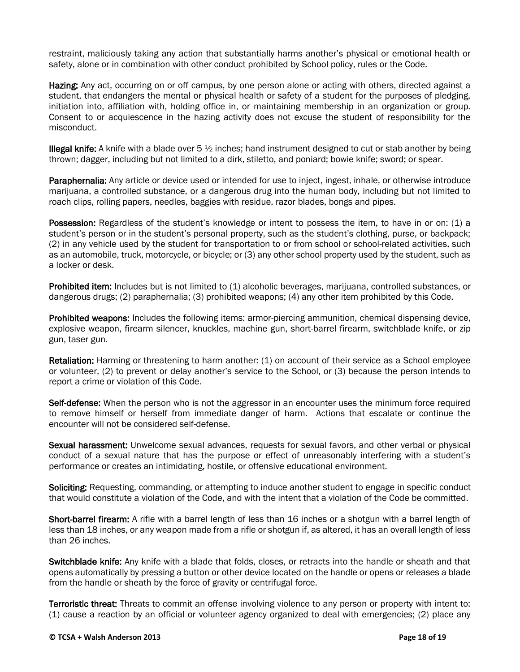restraint, maliciously taking any action that substantially harms another's physical or emotional health or safety, alone or in combination with other conduct prohibited by School policy, rules or the Code.

Hazing: Any act, occurring on or off campus, by one person alone or acting with others, directed against a student, that endangers the mental or physical health or safety of a student for the purposes of pledging, initiation into, affiliation with, holding office in, or maintaining membership in an organization or group. Consent to or acquiescence in the hazing activity does not excuse the student of responsibility for the misconduct.

**Illegal knife:** A knife with a blade over  $5\frac{1}{2}$  inches; hand instrument designed to cut or stab another by being thrown; dagger, including but not limited to a dirk, stiletto, and poniard; bowie knife; sword; or spear.

Paraphernalia: Any article or device used or intended for use to inject, ingest, inhale, or otherwise introduce marijuana, a controlled substance, or a dangerous drug into the human body, including but not limited to roach clips, rolling papers, needles, baggies with residue, razor blades, bongs and pipes.

**Possession:** Regardless of the student's knowledge or intent to possess the item, to have in or on: (1) a student's person or in the student's personal property, such as the student's clothing, purse, or backpack; (2) in any vehicle used by the student for transportation to or from school or school-related activities, such as an automobile, truck, motorcycle, or bicycle; or (3) any other school property used by the student, such as a locker or desk.

Prohibited item: Includes but is not limited to (1) alcoholic beverages, marijuana, controlled substances, or dangerous drugs; (2) paraphernalia; (3) prohibited weapons; (4) any other item prohibited by this Code.

Prohibited weapons: Includes the following items: armor-piercing ammunition, chemical dispensing device, explosive weapon, firearm silencer, knuckles, machine gun, short-barrel firearm, switchblade knife, or zip gun, taser gun.

Retaliation: Harming or threatening to harm another: (1) on account of their service as a School employee or volunteer, (2) to prevent or delay another's service to the School, or (3) because the person intends to report a crime or violation of this Code.

Self-defense: When the person who is not the aggressor in an encounter uses the minimum force required to remove himself or herself from immediate danger of harm. Actions that escalate or continue the encounter will not be considered self-defense.

Sexual harassment: Unwelcome sexual advances, requests for sexual favors, and other verbal or physical conduct of a sexual nature that has the purpose or effect of unreasonably interfering with a student's performance or creates an intimidating, hostile, or offensive educational environment.

Soliciting: Requesting, commanding, or attempting to induce another student to engage in specific conduct that would constitute a violation of the Code, and with the intent that a violation of the Code be committed.

Short-barrel firearm: A rifle with a barrel length of less than 16 inches or a shotgun with a barrel length of less than 18 inches, or any weapon made from a rifle or shotgun if, as altered, it has an overall length of less than 26 inches.

Switchblade knife: Any knife with a blade that folds, closes, or retracts into the handle or sheath and that opens automatically by pressing a button or other device located on the handle or opens or releases a blade from the handle or sheath by the force of gravity or centrifugal force.

Terroristic threat: Threats to commit an offense involving violence to any person or property with intent to: (1) cause a reaction by an official or volunteer agency organized to deal with emergencies; (2) place any